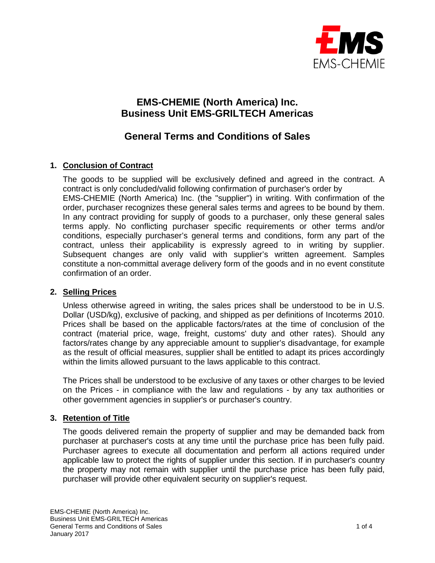

# **EMS-CHEMIE (North America) Inc. Business Unit EMS-GRILTECH Americas**

# **General Terms and Conditions of Sales**

## **1. Conclusion of Contract**

The goods to be supplied will be exclusively defined and agreed in the contract. A contract is only concluded/valid following confirmation of purchaser's order by EMS-CHEMIE (North America) Inc. (the "supplier") in writing. With confirmation of the order, purchaser recognizes these general sales terms and agrees to be bound by them. In any contract providing for supply of goods to a purchaser, only these general sales terms apply. No conflicting purchaser specific requirements or other terms and/or conditions, especially purchaser's general terms and conditions, form any part of the contract, unless their applicability is expressly agreed to in writing by supplier. Subsequent changes are only valid with supplier's written agreement. Samples constitute a non-committal average delivery form of the goods and in no event constitute confirmation of an order.

## **2. Selling Prices**

Unless otherwise agreed in writing, the sales prices shall be understood to be in U.S. Dollar (USD/kg), exclusive of packing, and shipped as per definitions of Incoterms 2010. Prices shall be based on the applicable factors/rates at the time of conclusion of the contract (material price, wage, freight, customs' duty and other rates). Should any factors/rates change by any appreciable amount to supplier's disadvantage, for example as the result of official measures, supplier shall be entitled to adapt its prices accordingly within the limits allowed pursuant to the laws applicable to this contract.

The Prices shall be understood to be exclusive of any taxes or other charges to be levied on the Prices - in compliance with the law and regulations - by any tax authorities or other government agencies in supplier's or purchaser's country.

## **3. Retention of Title**

The goods delivered remain the property of supplier and may be demanded back from purchaser at purchaser's costs at any time until the purchase price has been fully paid. Purchaser agrees to execute all documentation and perform all actions required under applicable law to protect the rights of supplier under this section. If in purchaser's country the property may not remain with supplier until the purchase price has been fully paid, purchaser will provide other equivalent security on supplier's request.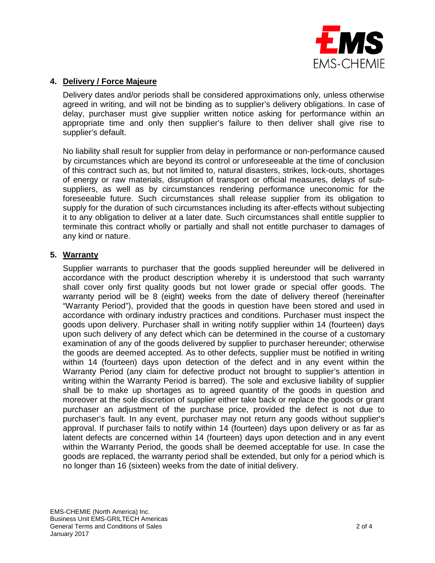

### **4. Delivery / Force Majeure**

Delivery dates and/or periods shall be considered approximations only, unless otherwise agreed in writing, and will not be binding as to supplier's delivery obligations. In case of delay, purchaser must give supplier written notice asking for performance within an appropriate time and only then supplier's failure to then deliver shall give rise to supplier's default.

No liability shall result for supplier from delay in performance or non-performance caused by circumstances which are beyond its control or unforeseeable at the time of conclusion of this contract such as, but not limited to, natural disasters, strikes, lock-outs, shortages of energy or raw materials, disruption of transport or official measures, delays of subsuppliers, as well as by circumstances rendering performance uneconomic for the foreseeable future. Such circumstances shall release supplier from its obligation to supply for the duration of such circumstances including its after-effects without subjecting it to any obligation to deliver at a later date. Such circumstances shall entitle supplier to terminate this contract wholly or partially and shall not entitle purchaser to damages of any kind or nature.

#### **5. Warranty**

Supplier warrants to purchaser that the goods supplied hereunder will be delivered in accordance with the product description whereby it is understood that such warranty shall cover only first quality goods but not lower grade or special offer goods. The warranty period will be 8 (eight) weeks from the date of delivery thereof (hereinafter "Warranty Period"), provided that the goods in question have been stored and used in accordance with ordinary industry practices and conditions. Purchaser must inspect the goods upon delivery. Purchaser shall in writing notify supplier within 14 (fourteen) days upon such delivery of any defect which can be determined in the course of a customary examination of any of the goods delivered by supplier to purchaser hereunder; otherwise the goods are deemed accepted. As to other defects, supplier must be notified in writing within 14 (fourteen) days upon detection of the defect and in any event within the Warranty Period (any claim for defective product not brought to supplier's attention in writing within the Warranty Period is barred). The sole and exclusive liability of supplier shall be to make up shortages as to agreed quantity of the goods in question and moreover at the sole discretion of supplier either take back or replace the goods or grant purchaser an adjustment of the purchase price, provided the defect is not due to purchaser's fault. In any event, purchaser may not return any goods without supplier's approval. If purchaser fails to notify within 14 (fourteen) days upon delivery or as far as latent defects are concerned within 14 (fourteen) days upon detection and in any event within the Warranty Period, the goods shall be deemed acceptable for use. In case the goods are replaced, the warranty period shall be extended, but only for a period which is no longer than 16 (sixteen) weeks from the date of initial delivery.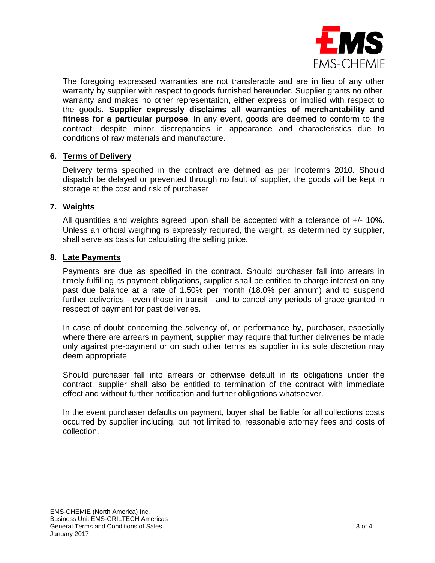

The foregoing expressed warranties are not transferable and are in lieu of any other warranty by supplier with respect to goods furnished hereunder. Supplier grants no other warranty and makes no other representation, either express or implied with respect to the goods. **Supplier expressly disclaims all warranties of merchantability and fitness for a particular purpose**. In any event, goods are deemed to conform to the contract, despite minor discrepancies in appearance and characteristics due to conditions of raw materials and manufacture.

### **6. Terms of Delivery**

Delivery terms specified in the contract are defined as per Incoterms 2010. Should dispatch be delayed or prevented through no fault of supplier, the goods will be kept in storage at the cost and risk of purchaser

## **7. Weights**

All quantities and weights agreed upon shall be accepted with a tolerance of +/- 10%. Unless an official weighing is expressly required, the weight, as determined by supplier, shall serve as basis for calculating the selling price.

### **8. Late Payments**

Payments are due as specified in the contract. Should purchaser fall into arrears in timely fulfilling its payment obligations, supplier shall be entitled to charge interest on any past due balance at a rate of 1.50% per month (18.0% per annum) and to suspend further deliveries - even those in transit - and to cancel any periods of grace granted in respect of payment for past deliveries.

In case of doubt concerning the solvency of, or performance by, purchaser, especially where there are arrears in payment, supplier may require that further deliveries be made only against pre-payment or on such other terms as supplier in its sole discretion may deem appropriate.

Should purchaser fall into arrears or otherwise default in its obligations under the contract, supplier shall also be entitled to termination of the contract with immediate effect and without further notification and further obligations whatsoever.

In the event purchaser defaults on payment, buyer shall be liable for all collections costs occurred by supplier including, but not limited to, reasonable attorney fees and costs of collection.